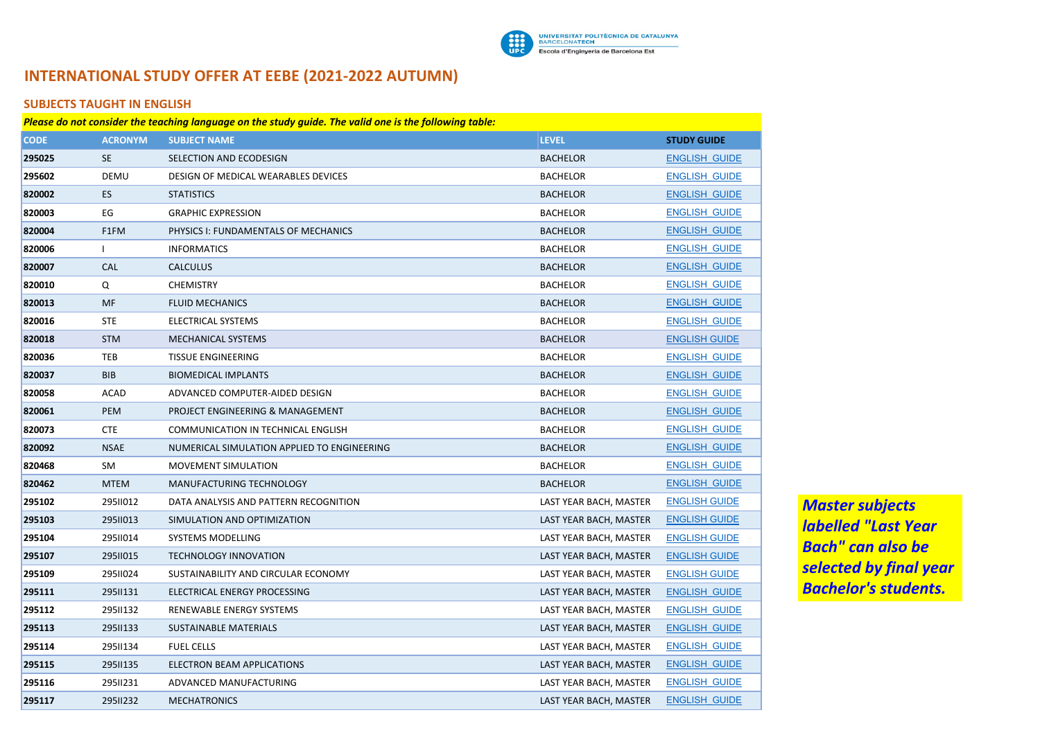

# **INTERNATIONAL STUDY OFFER AT EEBE (2021-2022 AUTUMN)**

### **SUBJECTS TAUGHT IN ENGLISH**

| Please do not consider the teaching language on the study guide. The valid one is the following table: |                |                                             |                        |                      |  |
|--------------------------------------------------------------------------------------------------------|----------------|---------------------------------------------|------------------------|----------------------|--|
| <b>CODE</b>                                                                                            | <b>ACRONYM</b> | <b>SUBJECT NAME</b>                         | <b>LEVEL</b>           | <b>STUDY GUIDE</b>   |  |
| 295025                                                                                                 | <b>SE</b>      | SELECTION AND ECODESIGN                     | <b>BACHELOR</b>        | <b>ENGLISH GUIDE</b> |  |
| 295602                                                                                                 | DEMU           | DESIGN OF MEDICAL WEARABLES DEVICES         | <b>BACHELOR</b>        | <b>ENGLISH GUIDE</b> |  |
| 820002                                                                                                 | ES.            | <b>STATISTICS</b>                           | <b>BACHELOR</b>        | <b>ENGLISH GUIDE</b> |  |
| 820003                                                                                                 | EG             | <b>GRAPHIC EXPRESSION</b>                   | <b>BACHELOR</b>        | <b>ENGLISH GUIDE</b> |  |
| 820004                                                                                                 | F1FM           | PHYSICS I: FUNDAMENTALS OF MECHANICS        | <b>BACHELOR</b>        | <b>ENGLISH GUIDE</b> |  |
| 820006                                                                                                 | T              | <b>INFORMATICS</b>                          | <b>BACHELOR</b>        | <b>ENGLISH GUIDE</b> |  |
| 820007                                                                                                 | <b>CAL</b>     | <b>CALCULUS</b>                             | <b>BACHELOR</b>        | <b>ENGLISH GUIDE</b> |  |
| 820010                                                                                                 | Q              | <b>CHEMISTRY</b>                            | <b>BACHELOR</b>        | <b>ENGLISH GUIDE</b> |  |
| 820013                                                                                                 | MF             | <b>FLUID MECHANICS</b>                      | <b>BACHELOR</b>        | <b>ENGLISH GUIDE</b> |  |
| 820016                                                                                                 | <b>STE</b>     | ELECTRICAL SYSTEMS                          | <b>BACHELOR</b>        | <b>ENGLISH GUIDE</b> |  |
| 820018                                                                                                 | <b>STM</b>     | MECHANICAL SYSTEMS                          | <b>BACHELOR</b>        | <b>ENGLISH GUIDE</b> |  |
| 820036                                                                                                 | <b>TEB</b>     | <b>TISSUE ENGINEERING</b>                   | <b>BACHELOR</b>        | <b>ENGLISH GUIDE</b> |  |
| 820037                                                                                                 | <b>BIB</b>     | <b>BIOMEDICAL IMPLANTS</b>                  | <b>BACHELOR</b>        | <b>ENGLISH GUIDE</b> |  |
| 820058                                                                                                 | <b>ACAD</b>    | ADVANCED COMPUTER-AIDED DESIGN              | <b>BACHELOR</b>        | <b>ENGLISH GUIDE</b> |  |
| 820061                                                                                                 | PEM            | PROJECT ENGINEERING & MANAGEMENT            | <b>BACHELOR</b>        | <b>ENGLISH GUIDE</b> |  |
| 820073                                                                                                 | <b>CTE</b>     | COMMUNICATION IN TECHNICAL ENGLISH          | <b>BACHELOR</b>        | <b>ENGLISH GUIDE</b> |  |
| 820092                                                                                                 | <b>NSAE</b>    | NUMERICAL SIMULATION APPLIED TO ENGINEERING | <b>BACHELOR</b>        | <b>ENGLISH GUIDE</b> |  |
| 820468                                                                                                 | <b>SM</b>      | <b>MOVEMENT SIMULATION</b>                  | <b>BACHELOR</b>        | <b>ENGLISH GUIDE</b> |  |
| 820462                                                                                                 | <b>MTEM</b>    | MANUFACTURING TECHNOLOGY                    | <b>BACHELOR</b>        | <b>ENGLISH GUIDE</b> |  |
| 295102                                                                                                 | 29511012       | DATA ANALYSIS AND PATTERN RECOGNITION       | LAST YEAR BACH, MASTER | <b>ENGLISH GUIDE</b> |  |
| 295103                                                                                                 | 29511013       | SIMULATION AND OPTIMIZATION                 | LAST YEAR BACH, MASTER | <b>ENGLISH GUIDE</b> |  |
| 295104                                                                                                 | 29511014       | <b>SYSTEMS MODELLING</b>                    | LAST YEAR BACH, MASTER | <b>ENGLISH GUIDE</b> |  |
| 295107                                                                                                 | 29511015       | <b>TECHNOLOGY INNOVATION</b>                | LAST YEAR BACH, MASTER | <b>ENGLISH GUIDE</b> |  |
| 295109                                                                                                 | 29511024       | SUSTAINABILITY AND CIRCULAR ECONOMY         | LAST YEAR BACH, MASTER | <b>ENGLISH GUIDE</b> |  |
| 295111                                                                                                 | 2951131        | ELECTRICAL ENERGY PROCESSING                | LAST YEAR BACH, MASTER | <b>ENGLISH GUIDE</b> |  |
| 295112                                                                                                 | 2951132        | RENEWABLE ENERGY SYSTEMS                    | LAST YEAR BACH, MASTER | <b>ENGLISH GUIDE</b> |  |
| 295113                                                                                                 | 2951133        | <b>SUSTAINABLE MATERIALS</b>                | LAST YEAR BACH, MASTER | <b>ENGLISH GUIDE</b> |  |
| 295114                                                                                                 | 2951134        | <b>FUEL CELLS</b>                           | LAST YEAR BACH, MASTER | <b>ENGLISH GUIDE</b> |  |
| 295115                                                                                                 | 2951135        | ELECTRON BEAM APPLICATIONS                  | LAST YEAR BACH, MASTER | <b>ENGLISH GUIDE</b> |  |
| 295116                                                                                                 | 29511231       | ADVANCED MANUFACTURING                      | LAST YEAR BACH, MASTER | <b>ENGLISH GUIDE</b> |  |
| 295117                                                                                                 | 29511232       | <b>MECHATRONICS</b>                         | LAST YEAR BACH, MASTER | <b>ENGLISH GUIDE</b> |  |

*Master subjects labelled "Last Year Bach" can also be selected by final year Bachelor's students.*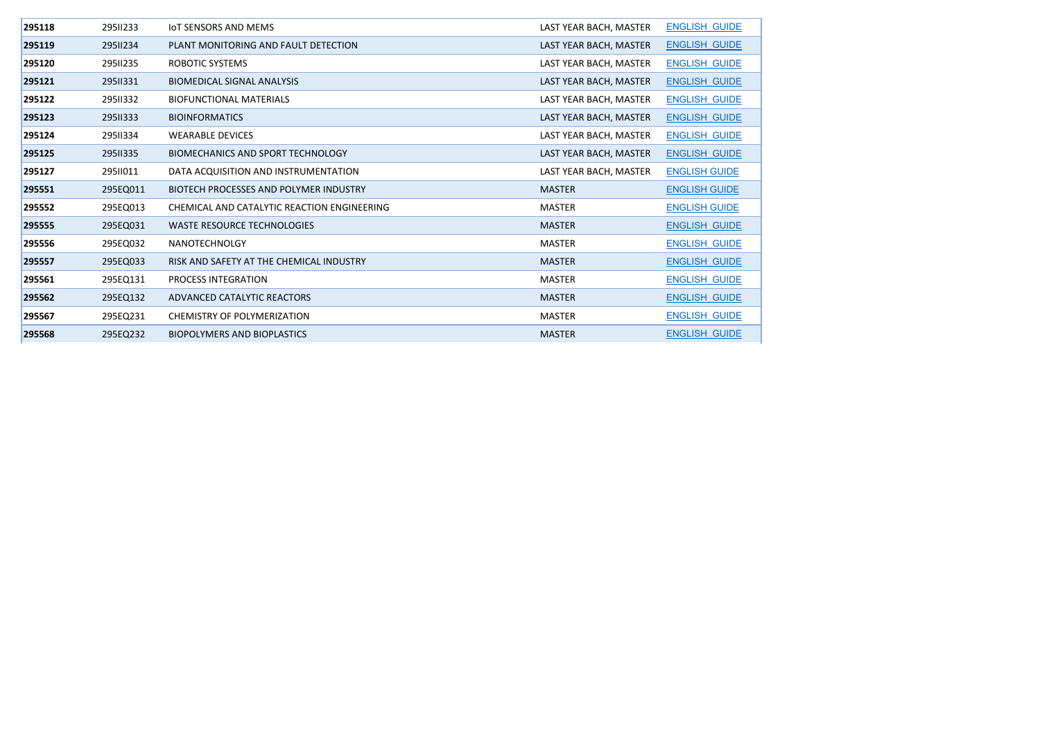| 295118 | 29511233 | <b>IOT SENSORS AND MEMS</b>                 | LAST YEAR BACH, MASTER | <b>ENGLISH GUIDE</b> |
|--------|----------|---------------------------------------------|------------------------|----------------------|
| 295119 | 29511234 | PLANT MONITORING AND FAULT DETECTION        | LAST YEAR BACH, MASTER | <b>ENGLISH GUIDE</b> |
| 295120 | 29511235 | ROBOTIC SYSTEMS                             | LAST YEAR BACH, MASTER | <b>ENGLISH GUIDE</b> |
| 295121 | 29511331 | <b>BIOMEDICAL SIGNAL ANALYSIS</b>           | LAST YEAR BACH, MASTER | <b>ENGLISH GUIDE</b> |
| 295122 | 29511332 | <b>BIOFUNCTIONAL MATERIALS</b>              | LAST YEAR BACH, MASTER | <b>ENGLISH GUIDE</b> |
| 295123 | 29511333 | <b>BIOINFORMATICS</b>                       | LAST YEAR BACH, MASTER | <b>ENGLISH GUIDE</b> |
| 295124 | 29511334 | <b>WEARABLE DEVICES</b>                     | LAST YEAR BACH, MASTER | <b>ENGLISH GUIDE</b> |
| 295125 | 29511335 | BIOMECHANICS AND SPORT TECHNOLOGY           | LAST YEAR BACH, MASTER | <b>ENGLISH GUIDE</b> |
| 295127 | 29511011 | DATA ACQUISITION AND INSTRUMENTATION        | LAST YEAR BACH, MASTER | <b>ENGLISH GUIDE</b> |
| 295551 | 295EQ011 | BIOTECH PROCESSES AND POLYMER INDUSTRY      | <b>MASTER</b>          | <b>ENGLISH GUIDE</b> |
| 295552 | 295EQ013 | CHEMICAL AND CATALYTIC REACTION ENGINEERING | MASTER                 | <b>ENGLISH GUIDE</b> |
| 295555 | 295EQ031 | <b>WASTE RESOURCE TECHNOLOGIES</b>          | <b>MASTER</b>          | <b>ENGLISH GUIDE</b> |
| 295556 | 295EQ032 | <b>NANOTECHNOLGY</b>                        | MASTER                 | <b>ENGLISH GUIDE</b> |
| 295557 | 295EQ033 | RISK AND SAFETY AT THE CHEMICAL INDUSTRY    | <b>MASTER</b>          | <b>ENGLISH GUIDE</b> |
| 295561 | 295EQ131 | PROCESS INTEGRATION                         | <b>MASTER</b>          | <b>ENGLISH GUIDE</b> |
| 295562 | 295EQ132 | ADVANCED CATALYTIC REACTORS                 | <b>MASTER</b>          | <b>ENGLISH GUIDE</b> |
| 295567 | 295EQ231 | CHEMISTRY OF POLYMERIZATION                 | <b>MASTER</b>          | <b>ENGLISH GUIDE</b> |
| 295568 | 295EQ232 | <b>BIOPOLYMERS AND BIOPLASTICS</b>          | <b>MASTER</b>          | <b>ENGLISH GUIDE</b> |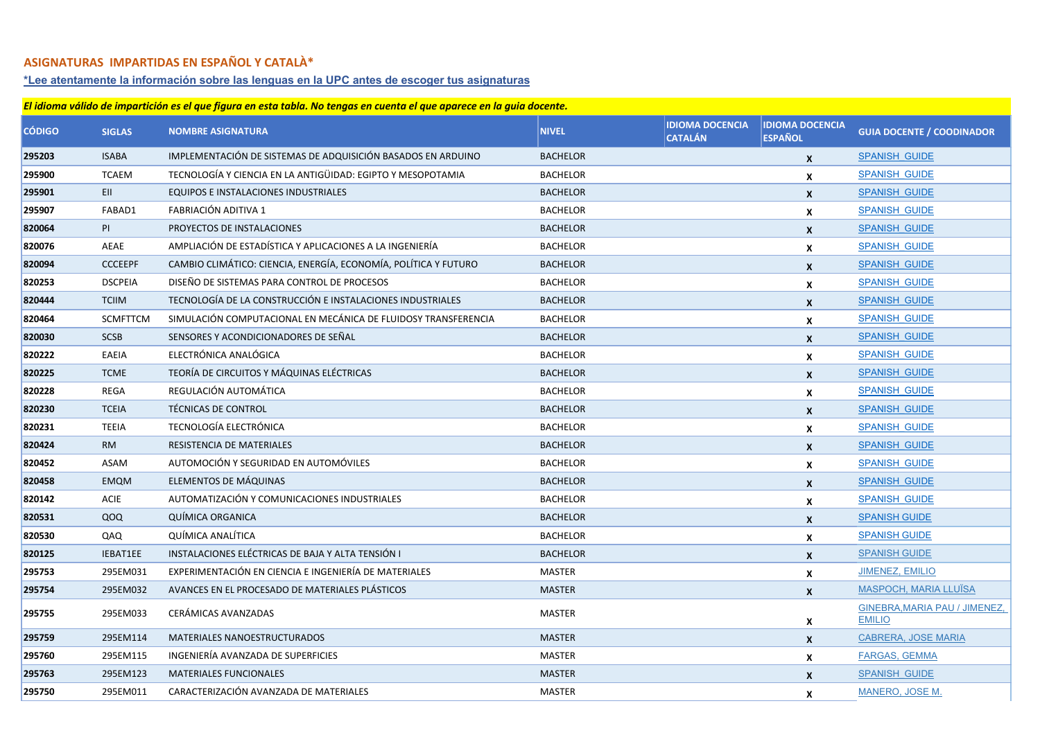#### **ASIGNATURAS IMPARTIDAS EN ESPAÑOL Y CATALÀ\***

#### **[\\*Lee atentamente la información sobre las lenguas en la UPC antes de escoger tus asignaturas](https://www.upc.edu/slt/es/acogida/lenguas-upc)**

## **CÓDIGO SIGLAS NOMBRE ASIGNATURA NIVEL IDIOMA DOCENCIA CATALÁN IDIOMA DOCENCIA ESPAÑOL GUIA DOCENTE / COODINADOR** ISABA IMPLEMENTACIÓN DE SISTEMAS DE ADQUISICIÓN BASADOS EN ARDUINO BACHELOR **INCLUSIVE EN ALGUIDE EN ALGUIDE**  TCAEM TECNOLOGÍA Y CIENCIA EN LA ANTIGÜIDAD: EGIPTO Y MESOPOTAMIA BACHELOR **X** [SPANISH\\_GUIDE](http://www.upc.edu/estudispdf/guia_docent.php?codi=295900&lang=es) EII EQUIPOS E INSTALACIONES INDUSTRIALES BACHELOR **X** [SPANISH\\_GUIDE](http://www.upc.edu/estudispdf/guia_docent.php?codi=295901&lang=es) FABAD1 FABRIACIÓN ADITIVA 1 BACHELOR **X** [SPANISH\\_GUIDE](http://www.upc.edu/estudispdf/guia_docent.php?codi=295907&lang=es) PI PROYECTOS DE INSTALACIONES POLITICAL CONTRACTOR BACHELOR BACHELOR CONTRACTOR CONTRACTOR CONTRACTOR CONTRACTOR AEAE AMPLIACIÓN DE ESTADÍSTICA Y APLICACIONES A LA INGENIERÍA BACHELOR A LA INGENIERÍA BACHELOR **X** SPANISH GUIDE CCCEEPF CAMBIO CLIMÁTICO: CIENCIA, ENERGÍA, ECONOMÍA, POLÍTICA Y FUTURO BACHELOR CONOMÍA, POLÍTICA Y FUTURO DSCPEIA DISEÑO DE SISTEMAS PARA CONTROL DE PROCESOS BACHELOR BACHELOR DE PROCESOS DE SE EN EL ENGLACIO DE SISTEMAS PARA CONTROL DE PROCESOS DE SE EN EL ENGLACIO DE SISTEMAS PARA CONTROL DE PROCESOS DE SE EN EL ENG TCIIM TECNOLOGÍA DE LA CONSTRUCCIÓN E INSTALACIONES INDUSTRIALES BACHELOR **SPANISH** GUIDE SCMFTTCM SIMULACIÓN COMPUTACIONAL EN MECÁNICA DE FLUIDOSY TRANSFERENCIA BACHELOR TENENISME OUNTROLLO EN [SPANISH\\_GUIDE](http://www.upc.edu/estudispdf/guia_docent.php?codi=820464&lang=es) SCSB SENSORES Y ACONDICIONADORES DE SEÑAL BACHELOR BACHELOR BACHELOR NO [SPANISH\\_GUIDE](http://www.upc.edu/estudispdf/guia_docent.php?codi=820030&lang=es) EAEIA ELECTRÓNICA ANALÓGICA BACHELOR **X** [SPANISH\\_GUIDE](http://www.upc.edu/estudispdf/guia_docent.php?codi=820222&lang=es) TCME TEORÍA DE CIRCUITOS Y MÁQUINAS ELÉCTRICAS **SPANISH EN A CONSTANTE EN ELÉCTRICAS** BACHELOR **X** SPANISH GUIDE REGA REGULACIÓN AUTOMÁTICA BACHELOR **X** [SPANISH\\_GUIDE](http://www.upc.edu/estudispdf/guia_docent.php?codi=820228&lang=es) TCEIA TÉCNICAS DE CONTROL BACHELOR **X** [SPANISH\\_GUIDE](http://www.upc.edu/estudispdf/guia_docent.php?codi=820230&lang=es) TEEIA TECNOLOGÍA ELECTRÓNICA BACHELOR **X** [SPANISH\\_GUIDE](http://www.upc.edu/estudispdf/guia_docent.php?codi=820231&lang=es) RM RESISTENCIA DE MATERIALES BACHELOR **X** [SPANISH\\_GUIDE](http://www.upc.edu/estudispdf/guia_docent.php?codi=820424&lang=es) ASAM AUTOMOCIÓN Y SEGURIDAD EN AUTOMÓVILES AUTOMÓVILES AUTOMÓVILES AUTOMÓVILES AUTOMÓVILES AUTOMÓVILES EMQM ELEMENTOS DE MÁQUINAS BACHELOR **X** [SPANISH\\_GUIDE](http://www.upc.edu/estudispdf/guia_docent.php?codi=820458&lang=es) ACIE AUTOMATIZACIÓN Y COMUNICACIONES INDUSTRIALES BACHELOR BACHELOR AND [SPANISH\\_GUIDE](http://www.upc.edu/estudispdf/guia_docent.php?codi=820142&lang=es) QOQ QUÍMICA ORGANICA BACHELOR **X** [SPANISH GUIDE](http://www.upc.edu/estudispdf/guia_docent.php?codi=820531&lang=es) QAQ QUÍMICA ANALÍTICA BACHELOR **X** [SPANISH GUIDE](http://www.upc.edu/estudispdf/guia_docent.php?codi=820530&lang=es) IEBAT1EE INSTALACIONES ELÉCTRICAS DE BAJA Y ALTA TENSIÓN I BACHELOR BACHELOR I BACHELOR **X** [SPANISH GUIDE](https://www.upc.edu/estudispdf/guia_docent.php?codi=820125&lang=es) 295EM031 EXPERIMENTACIÓN EN CIENCIA E INGENIERÍA DE MATERIALES MASTER **X** [JIMENEZ, EMILIO](https://directori.upc.edu/directori/dadesPersona.jsp?id=1003934) 295EM032 AVANCES EN EL PROCESADO DE MATERIALES PLÁSTICOS MASTER **X** [MASPOCH, MARIA LLUÏSA](https://directori.upc.edu/directori/dadesPersona.jsp?id=1000440) 295EM033 CERÁMICAS AVANZADAS MASTER **X** [GINEBRA,MARIA PAU / JIMENEZ,](https://directori.upc.edu/directori/dadesPersona.jsp?id=1002934)  [EMILIO](https://directori.upc.edu/directori/dadesPersona.jsp?id=1002934) 295EM114 MATERIALES NANOESTRUCTURADOS MASTER **X** [CABRERA, JOSE MARIA](https://directori.upc.edu/directori/dadesPersona.jsp?id=1002831) 295EM115 INGENIERÍA AVANZADA DE SUPERFICIES MASTER **X** [FARGAS, GEMMA](https://directori.upc.edu/directori/dadesPersona.jsp?id=1003571) 295EM123 MATERIALES FUNCIONALES MASTER **X** [SPANISH\\_GUIDE](http://www.upc.edu/estudispdf/guia_docent.php?codi=295763&lang=es) 295EM011 CARACTERIZACIÓN AVANZADA DE MATERIALES MASTER **X** [MANERO, JOSE M.](https://directori.upc.edu/directori/dadesPersona.jsp?id=1002089) *El idioma válido de impartición es el que figura en esta tabla. No tengas en cuenta el que aparece en la guia docente.*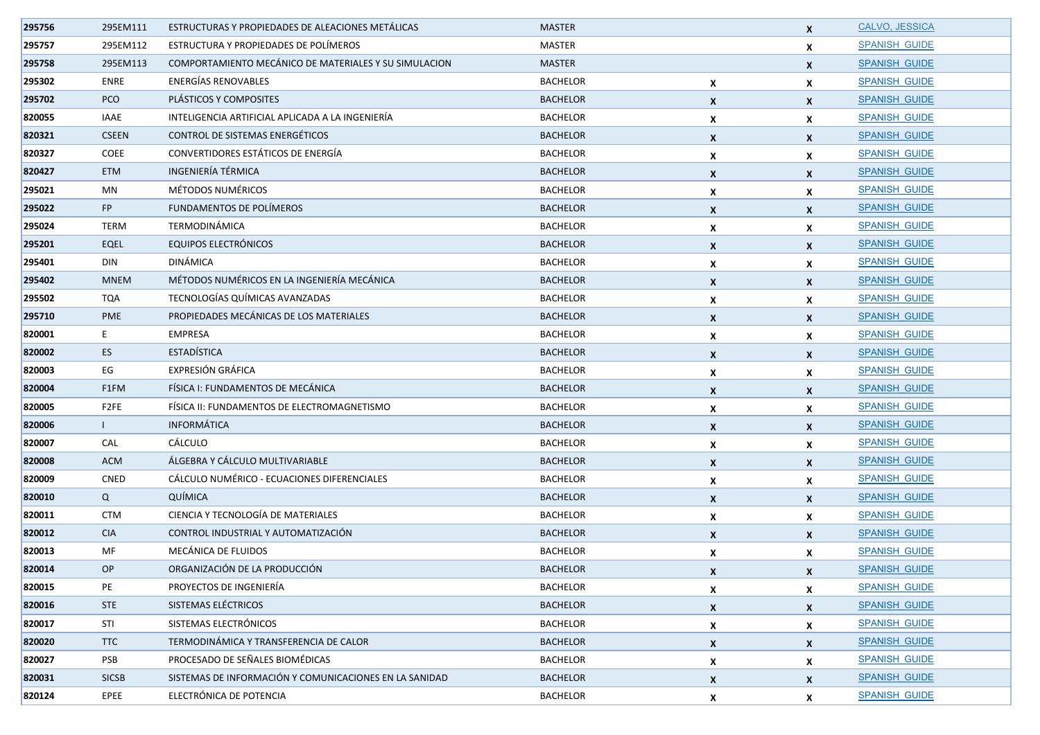| 295756 | 295EM111     | ESTRUCTURAS Y PROPIEDADES DE ALEACIONES METÁLICAS      | <b>MASTER</b>   |                  | $\mathbf{x}$              | CALVO, JESSICA       |
|--------|--------------|--------------------------------------------------------|-----------------|------------------|---------------------------|----------------------|
| 295757 | 295EM112     | ESTRUCTURA Y PROPIEDADES DE POLÍMEROS                  | MASTER          |                  | X                         | <b>SPANISH GUIDE</b> |
| 295758 | 295EM113     | COMPORTAMIENTO MECÁNICO DE MATERIALES Y SU SIMULACION  | <b>MASTER</b>   |                  | $\mathbf{x}$              | <b>SPANISH GUIDE</b> |
| 295302 | ENRE         | <b>ENERGÍAS RENOVABLES</b>                             | <b>BACHELOR</b> | X                | $\boldsymbol{x}$          | <b>SPANISH GUIDE</b> |
| 295702 | PCO          | PLÁSTICOS Y COMPOSITES                                 | <b>BACHELOR</b> | X                | $\boldsymbol{x}$          | <b>SPANISH GUIDE</b> |
| 820055 | <b>IAAE</b>  | INTELIGENCIA ARTIFICIAL APLICADA A LA INGENIERÍA       | <b>BACHELOR</b> | X                | X                         | <b>SPANISH GUIDE</b> |
| 820321 | <b>CSEEN</b> | CONTROL DE SISTEMAS ENERGÉTICOS                        | <b>BACHELOR</b> | X                | $\mathbf{x}$              | <b>SPANISH GUIDE</b> |
| 820327 | COEE         | CONVERTIDORES ESTÁTICOS DE ENERGÍA                     | <b>BACHELOR</b> | X                | $\boldsymbol{x}$          | <b>SPANISH GUIDE</b> |
| 820427 | <b>ETM</b>   | INGENIERÍA TÉRMICA                                     | <b>BACHELOR</b> | X                | $\mathsf{x}$              | <b>SPANISH GUIDE</b> |
| 295021 | MN           | MÉTODOS NUMÉRICOS                                      | <b>BACHELOR</b> | X                | X                         | <b>SPANISH GUIDE</b> |
| 295022 | FP           | FUNDAMENTOS DE POLÍMEROS                               | <b>BACHELOR</b> | X                | $\mathbf{x}$              | <b>SPANISH GUIDE</b> |
| 295024 | TERM         | TERMODINÁMICA                                          | <b>BACHELOR</b> | X                | X                         | <b>SPANISH GUIDE</b> |
| 295201 | EQEL         | <b>EQUIPOS ELECTRÓNICOS</b>                            | <b>BACHELOR</b> | $\boldsymbol{x}$ | $\mathbf{x}$              | <b>SPANISH GUIDE</b> |
| 295401 | DIN          | DINÁMICA                                               | <b>BACHELOR</b> | X                | $\boldsymbol{x}$          | <b>SPANISH GUIDE</b> |
| 295402 | <b>MNEM</b>  | MÉTODOS NUMÉRICOS EN LA INGENIERÍA MECÁNICA            | <b>BACHELOR</b> | X                | $\mathsf{x}$              | <b>SPANISH GUIDE</b> |
| 295502 | <b>TQA</b>   | TECNOLOGÍAS QUÍMICAS AVANZADAS                         | <b>BACHELOR</b> | X                | X                         | <b>SPANISH GUIDE</b> |
| 295710 | <b>PME</b>   | PROPIEDADES MECÁNICAS DE LOS MATERIALES                | <b>BACHELOR</b> | X                | $\mathbf{x}$              | <b>SPANISH GUIDE</b> |
| 820001 | $E_{\perp}$  | <b>EMPRESA</b>                                         | <b>BACHELOR</b> | X                | X                         | <b>SPANISH GUIDE</b> |
| 820002 | ES           | <b>ESTADÍSTICA</b>                                     | <b>BACHELOR</b> | X                | $\mathbf{x}$              | <b>SPANISH GUIDE</b> |
| 820003 | EG           | EXPRESIÓN GRÁFICA                                      | <b>BACHELOR</b> | X                | X                         | <b>SPANISH GUIDE</b> |
| 820004 | F1FM         | FÍSICA I: FUNDAMENTOS DE MECÁNICA                      | <b>BACHELOR</b> | X                | $\mathbf{x}$              | <b>SPANISH GUIDE</b> |
| 820005 | F2FE         | FISICA II: FUNDAMENTOS DE ELECTROMAGNETISMO            | <b>BACHELOR</b> | X                | X                         | <b>SPANISH GUIDE</b> |
| 820006 | $\mathbf{L}$ | INFORMÁTICA                                            | <b>BACHELOR</b> | X                | $\boldsymbol{x}$          | <b>SPANISH GUIDE</b> |
| 820007 | CAL          | CÁLCULO                                                | <b>BACHELOR</b> | X                | X                         | <b>SPANISH GUIDE</b> |
| 820008 | <b>ACM</b>   | ÁLGEBRA Y CÁLCULO MULTIVARIABLE                        | <b>BACHELOR</b> | X                | $\boldsymbol{x}$          | <b>SPANISH GUIDE</b> |
| 820009 | <b>CNED</b>  | CÁLCULO NUMÉRICO - ECUACIONES DIFERENCIALES            | <b>BACHELOR</b> | X                | X                         | <b>SPANISH GUIDE</b> |
| 820010 | Q            | QUÍMICA                                                | <b>BACHELOR</b> | X                | $\boldsymbol{x}$          | <b>SPANISH GUIDE</b> |
| 820011 | <b>CTM</b>   | CIENCIA Y TECNOLOGÍA DE MATERIALES                     | <b>BACHELOR</b> | X                | $\boldsymbol{x}$          | <b>SPANISH GUIDE</b> |
| 820012 | <b>CIA</b>   | CONTROL INDUSTRIAL Y AUTOMATIZACIÓN                    | <b>BACHELOR</b> | $\boldsymbol{x}$ | $\mathbf{x}$              | <b>SPANISH GUIDE</b> |
| 820013 | MF           | MECÁNICA DE FLUIDOS                                    | <b>BACHELOR</b> | X                | X                         | <b>SPANISH GUIDE</b> |
| 820014 | <b>OP</b>    | ORGANIZACIÓN DE LA PRODUCCIÓN                          | <b>BACHELOR</b> | x                | X                         | <b>SPANISH GUIDE</b> |
| 820015 | PE           | PROYECTOS DE INGENIERÍA                                | <b>BACHELOR</b> | X                | $\mathsf{x}$              | <b>SPANISH GUIDE</b> |
| 820016 | <b>STE</b>   | SISTEMAS ELÉCTRICOS                                    | <b>BACHELOR</b> | X                | $\mathbf{x}$              | <b>SPANISH GUIDE</b> |
| 820017 | STI          | SISTEMAS ELECTRÓNICOS                                  | <b>BACHELOR</b> | X                | $\mathbf{x}$              | <b>SPANISH GUIDE</b> |
| 820020 | <b>TTC</b>   | TERMODINÁMICA Y TRANSFERENCIA DE CALOR                 | <b>BACHELOR</b> | X                | $\mathbf{x}$              | SPANISH_GUIDE        |
| 820027 | PSB          | PROCESADO DE SEÑALES BIOMÉDICAS                        | <b>BACHELOR</b> | X                | $\mathbf{x}$              | <b>SPANISH GUIDE</b> |
| 820031 | <b>SICSB</b> | SISTEMAS DE INFORMACIÓN Y COMUNICACIONES EN LA SANIDAD | <b>BACHELOR</b> | $\mathbf{x}$     | $\mathbf{x}$              | <b>SPANISH GUIDE</b> |
| 820124 | EPEE         | ELECTRÓNICA DE POTENCIA                                | <b>BACHELOR</b> | $\mathbf{x}$     | $\boldsymbol{\mathsf{x}}$ | <b>SPANISH GUIDE</b> |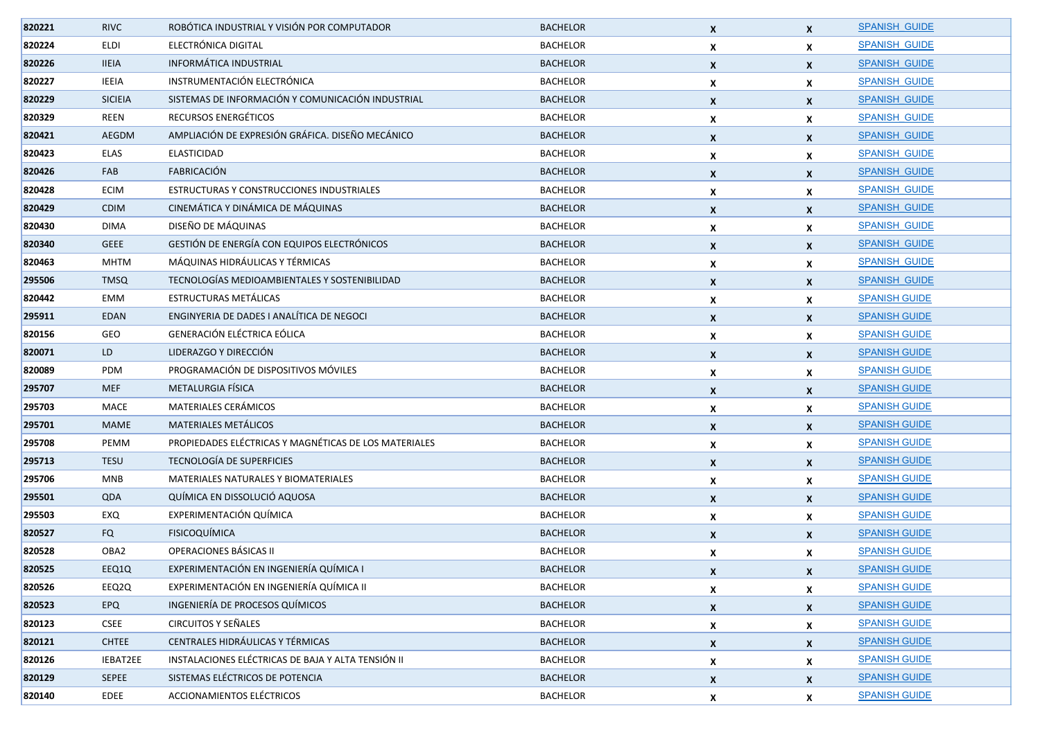| 820221 | <b>RIVC</b>    | ROBÓTICA INDUSTRIAL Y VISIÓN POR COMPUTADOR           | <b>BACHELOR</b> | X                  | $\mathbf{x}$              | <b>SPANISH GUIDE</b> |
|--------|----------------|-------------------------------------------------------|-----------------|--------------------|---------------------------|----------------------|
| 820224 | <b>ELDI</b>    | ELECTRÓNICA DIGITAL                                   | <b>BACHELOR</b> | X                  | $\boldsymbol{x}$          | <b>SPANISH GUIDE</b> |
| 820226 | <b>IIEIA</b>   | <b>INFORMÁTICA INDUSTRIAL</b>                         | <b>BACHELOR</b> | X                  | $\mathbf{x}$              | <b>SPANISH GUIDE</b> |
| 820227 | <b>IEEIA</b>   | INSTRUMENTACIÓN ELECTRÓNICA                           | <b>BACHELOR</b> | X                  | $\boldsymbol{x}$          | <b>SPANISH GUIDE</b> |
| 820229 | <b>SICIEIA</b> | SISTEMAS DE INFORMACIÓN Y COMUNICACIÓN INDUSTRIAL     | <b>BACHELOR</b> | X                  | $\boldsymbol{x}$          | <b>SPANISH GUIDE</b> |
| 820329 | REEN           | RECURSOS ENERGÉTICOS                                  | <b>BACHELOR</b> | X                  | X                         | <b>SPANISH GUIDE</b> |
| 820421 | AEGDM          | AMPLIACIÓN DE EXPRESIÓN GRÁFICA. DISEÑO MECÁNICO      | <b>BACHELOR</b> | $\boldsymbol{x}$   | $\mathbf{x}$              | <b>SPANISH GUIDE</b> |
| 820423 | ELAS           | <b>ELASTICIDAD</b>                                    | <b>BACHELOR</b> | X                  | X                         | <b>SPANISH GUIDE</b> |
| 820426 | FAB            | <b>FABRICACIÓN</b>                                    | <b>BACHELOR</b> | X                  | $\boldsymbol{x}$          | <b>SPANISH GUIDE</b> |
| 820428 | <b>ECIM</b>    | ESTRUCTURAS Y CONSTRUCCIONES INDUSTRIALES             | <b>BACHELOR</b> | X                  | X                         | <b>SPANISH GUIDE</b> |
| 820429 | <b>CDIM</b>    | CINEMÁTICA Y DINÁMICA DE MÁQUINAS                     | <b>BACHELOR</b> | $\boldsymbol{x}$   | $\boldsymbol{x}$          | <b>SPANISH GUIDE</b> |
| 820430 | <b>DIMA</b>    | DISEÑO DE MÁQUINAS                                    | <b>BACHELOR</b> | X                  | X                         | <b>SPANISH GUIDE</b> |
| 820340 | <b>GEEE</b>    | GESTIÓN DE ENERGÍA CON EQUIPOS ELECTRÓNICOS           | <b>BACHELOR</b> | X                  | $\mathbf{x}$              | <b>SPANISH GUIDE</b> |
| 820463 | <b>MHTM</b>    | MÁQUINAS HIDRÁULICAS Y TÉRMICAS                       | <b>BACHELOR</b> | X                  | X                         | <b>SPANISH GUIDE</b> |
| 295506 | <b>TMSQ</b>    | TECNOLOGÍAS MEDIOAMBIENTALES Y SOSTENIBILIDAD         | <b>BACHELOR</b> | X                  | $\mathsf{x}$              | <b>SPANISH GUIDE</b> |
| 820442 | EMM            | ESTRUCTURAS METÁLICAS                                 | <b>BACHELOR</b> | X                  | X                         | <b>SPANISH GUIDE</b> |
| 295911 | <b>EDAN</b>    | ENGINYERIA DE DADES I ANALÍTICA DE NEGOCI             | <b>BACHELOR</b> | X                  | $\mathbf{x}$              | <b>SPANISH GUIDE</b> |
| 820156 | GEO            | <b>GENERACIÓN ELÉCTRICA EÓLICA</b>                    | <b>BACHELOR</b> | X                  | X                         | <b>SPANISH GUIDE</b> |
| 820071 | LD             | LIDERAZGO Y DIRECCIÓN                                 | <b>BACHELOR</b> | X                  | $\mathbf{x}$              | <b>SPANISH GUIDE</b> |
| 820089 | PDM            | PROGRAMACIÓN DE DISPOSITIVOS MÓVILES                  | <b>BACHELOR</b> | X                  | X                         | <b>SPANISH GUIDE</b> |
| 295707 | <b>MEF</b>     | METALURGIA FÍSICA                                     | <b>BACHELOR</b> | X                  | $\boldsymbol{x}$          | <b>SPANISH GUIDE</b> |
| 295703 | MACE           | MATERIALES CERÁMICOS                                  | <b>BACHELOR</b> | X                  | X                         | <b>SPANISH GUIDE</b> |
| 295701 | <b>MAME</b>    | <b>MATERIALES METÁLICOS</b>                           | <b>BACHELOR</b> | X                  | $\mathbf{x}$              | <b>SPANISH GUIDE</b> |
| 295708 | PEMM           | PROPIEDADES ELÉCTRICAS Y MAGNÉTICAS DE LOS MATERIALES | <b>BACHELOR</b> | X                  | X                         | <b>SPANISH GUIDE</b> |
| 295713 | <b>TESU</b>    | TECNOLOGÍA DE SUPERFICIES                             | <b>BACHELOR</b> | X                  | $\boldsymbol{x}$          | <b>SPANISH GUIDE</b> |
| 295706 | MNB            | MATERIALES NATURALES Y BIOMATERIALES                  | <b>BACHELOR</b> | X                  | X                         | <b>SPANISH GUIDE</b> |
| 295501 | QDA            | QUÍMICA EN DISSOLUCIÓ AQUOSA                          | <b>BACHELOR</b> | X                  | $\mathbf{x}$              | <b>SPANISH GUIDE</b> |
| 295503 | EXQ            | EXPERIMENTACIÓN QUÍMICA                               | <b>BACHELOR</b> | X                  | $\boldsymbol{x}$          | <b>SPANISH GUIDE</b> |
| 820527 | <b>FQ</b>      | FISICOQUÍMICA                                         | <b>BACHELOR</b> | $\boldsymbol{x}$   | $\mathbf{x}$              | <b>SPANISH GUIDE</b> |
| 820528 | OBA2           | OPERACIONES BÁSICAS II                                | <b>BACHELOR</b> | X                  | X                         | <b>SPANISH GUIDE</b> |
| 820525 | EEQ1Q          | EXPERIMENTACIÓN EN INGENIERÍA QUÍMICA I               | <b>BACHELOR</b> | X                  | X                         | <b>SPANISH GUIDE</b> |
| 820526 | EEQ2Q          | EXPERIMENTACIÓN EN INGENIERÍA QUÍMICA II              | <b>BACHELOR</b> | X                  | X                         | <b>SPANISH GUIDE</b> |
| 820523 | EPQ            | INGENIERÍA DE PROCESOS QUÍMICOS                       | <b>BACHELOR</b> | X                  | $\mathbf{x}$              | <b>SPANISH GUIDE</b> |
| 820123 | <b>CSEE</b>    | <b>CIRCUITOS Y SEÑALES</b>                            | <b>BACHELOR</b> | X                  | $\mathbf{x}$              | <b>SPANISH GUIDE</b> |
| 820121 | <b>CHTEE</b>   | CENTRALES HIDRÁULICAS Y TÉRMICAS                      | <b>BACHELOR</b> | X                  | $\mathbf{x}$              | <b>SPANISH GUIDE</b> |
| 820126 | IEBAT2EE       | INSTALACIONES ELÉCTRICAS DE BAJA Y ALTA TENSIÓN II    | <b>BACHELOR</b> | X                  | $\mathbf{x}$              | <b>SPANISH GUIDE</b> |
| 820129 | SEPEE          | SISTEMAS ELÉCTRICOS DE POTENCIA                       | <b>BACHELOR</b> | X                  | $\mathbf{x}$              | <b>SPANISH GUIDE</b> |
| 820140 | EDEE           | ACCIONAMIENTOS ELÉCTRICOS                             | <b>BACHELOR</b> | $\pmb{\mathsf{X}}$ | $\boldsymbol{\mathsf{x}}$ | <b>SPANISH GUIDE</b> |